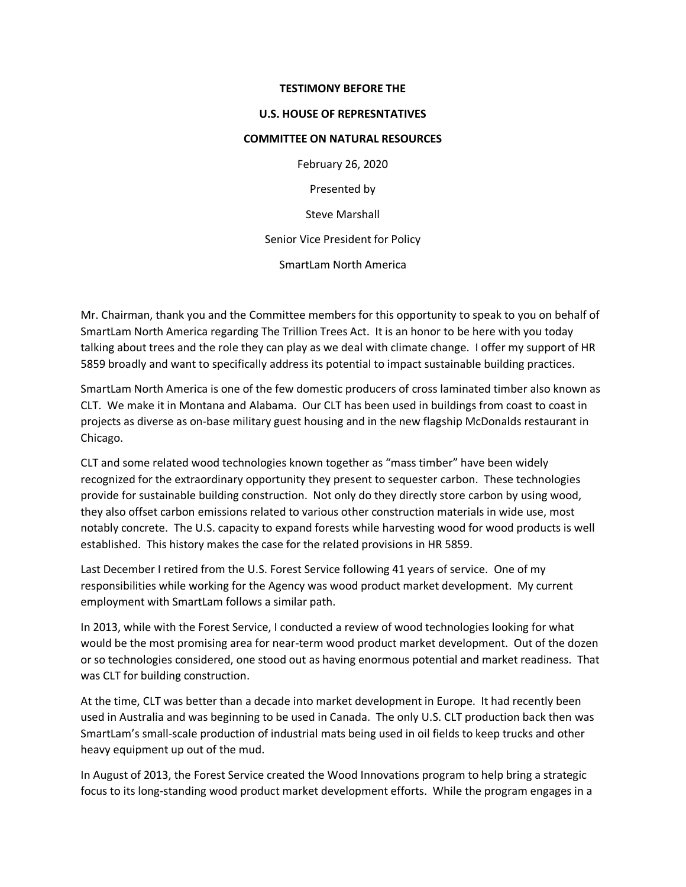## **TESTIMONY BEFORE THE**

## **U.S. HOUSE OF REPRESNTATIVES**

## **COMMITTEE ON NATURAL RESOURCES**

February 26, 2020

Presented by

Steve Marshall

Senior Vice President for Policy

SmartLam North America

Mr. Chairman, thank you and the Committee members for this opportunity to speak to you on behalf of SmartLam North America regarding The Trillion Trees Act. It is an honor to be here with you today talking about trees and the role they can play as we deal with climate change. I offer my support of HR 5859 broadly and want to specifically address its potential to impact sustainable building practices.

SmartLam North America is one of the few domestic producers of cross laminated timber also known as CLT. We make it in Montana and Alabama. Our CLT has been used in buildings from coast to coast in projects as diverse as on-base military guest housing and in the new flagship McDonalds restaurant in Chicago.

CLT and some related wood technologies known together as "mass timber" have been widely recognized for the extraordinary opportunity they present to sequester carbon. These technologies provide for sustainable building construction. Not only do they directly store carbon by using wood, they also offset carbon emissions related to various other construction materials in wide use, most notably concrete. The U.S. capacity to expand forests while harvesting wood for wood products is well established. This history makes the case for the related provisions in HR 5859.

Last December I retired from the U.S. Forest Service following 41 years of service. One of my responsibilities while working for the Agency was wood product market development. My current employment with SmartLam follows a similar path.

In 2013, while with the Forest Service, I conducted a review of wood technologies looking for what would be the most promising area for near-term wood product market development. Out of the dozen or so technologies considered, one stood out as having enormous potential and market readiness. That was CLT for building construction.

At the time, CLT was better than a decade into market development in Europe. It had recently been used in Australia and was beginning to be used in Canada. The only U.S. CLT production back then was SmartLam's small-scale production of industrial mats being used in oil fields to keep trucks and other heavy equipment up out of the mud.

In August of 2013, the Forest Service created the Wood Innovations program to help bring a strategic focus to its long-standing wood product market development efforts. While the program engages in a